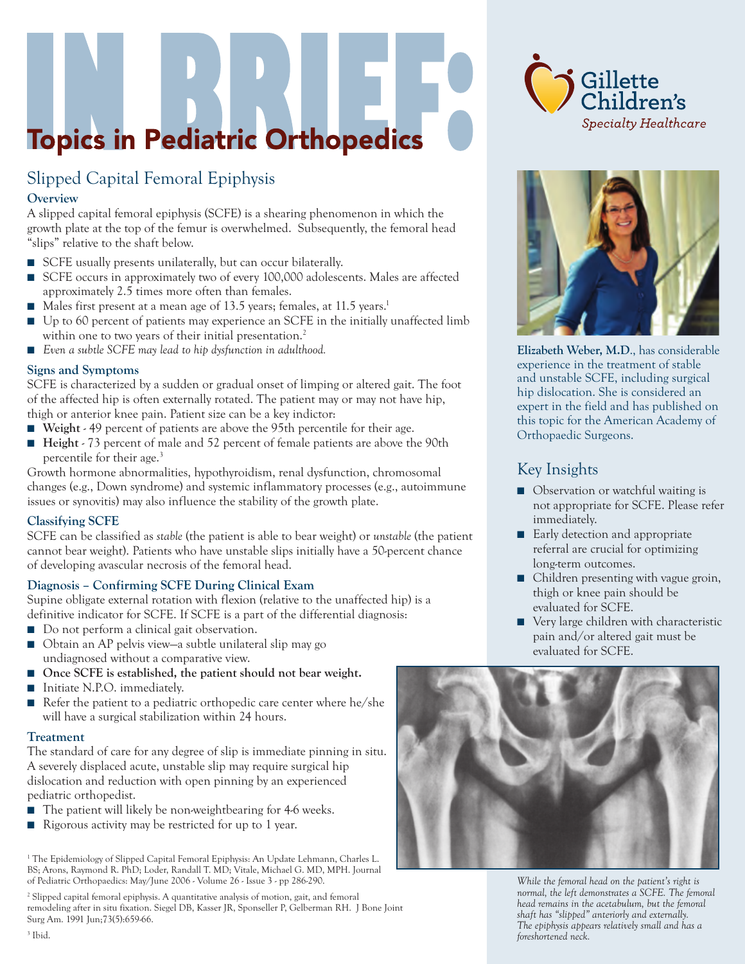# **Topics in Pediatric Orthopedics**

# Slipped Capital Femoral Epiphysis

#### **Overview**

A slipped capital femoral epiphysis (SCFE) is a shearing phenomenon in which the growth plate at the top of the femur is overwhelmed. Subsequently, the femoral head "slips" relative to the shaft below.

- SCFE usually presents unilaterally, but can occur bilaterally.
- SCFE occurs in approximately two of every 100,000 adolescents. Males are affected approximately 2.5 times more often than females.
- Males first present at a mean age of 13.5 years; females, at 11.5 years.<sup>1</sup>
- Up to 60 percent of patients may experience an SCFE in the initially unaffected limb within one to two years of their initial presentation.<sup>2</sup>
- *Even a subtle SCFE may lead to hip dysfunction in adulthood.*

#### **Signs and Symptoms**

SCFE is characterized by a sudden or gradual onset of limping or altered gait. The foot of the affected hip is often externally rotated. The patient may or may not have hip, thigh or anterior knee pain. Patient size can be a key indictor:

- **Weight** 49 percent of patients are above the 95th percentile for their age.
- **Height** 73 percent of male and 52 percent of female patients are above the 90th percentile for their age.3

Growth hormone abnormalities, hypothyroidism, renal dysfunction, chromosomal changes (e.g., Down syndrome) and systemic inflammatory processes (e.g., autoimmune issues or synovitis) may also influence the stability of the growth plate.

#### **Classifying SCFE**

SCFE can be classified as *stable* (the patient is able to bear weight) or *unstable* (the patient cannot bear weight). Patients who have unstable slips initially have a 50-percent chance of developing avascular necrosis of the femoral head.

#### **Diagnosis – Confirming SCFE During Clinical Exam**

Supine obligate external rotation with flexion (relative to the unaffected hip) is a definitive indicator for SCFE. If SCFE is a part of the differential diagnosis:

- Do not perform a clinical gait observation.
- Obtain an AP pelvis view—a subtle unilateral slip may go undiagnosed without a comparative view.
- **Once SCFE** is established, the patient should not bear weight.
- Initiate N.P.O. immediately.
- Refer the patient to a pediatric orthopedic care center where he/she will have a surgical stabilization within 24 hours.

#### **Treatment**

The standard of care for any degree of slip is immediate pinning in situ. A severely displaced acute, unstable slip may require surgical hip dislocation and reduction with open pinning by an experienced pediatric orthopedist.

- The patient will likely be non-weightbearing for 4-6 weeks.
- Rigorous activity may be restricted for up to 1 year.

<sup>1</sup> The Epidemiology of Slipped Capital Femoral Epiphysis: An Update Lehmann, Charles L. BS; Arons, Raymond R. PhD; Loder, Randall T. MD; Vitale, Michael G. MD, MPH. Journal of Pediatric Orthopaedics: May/June 2006 - Volume 26 - Issue 3 - pp 286-290.

2 Slipped capital femoral epiphysis. A quantitative analysis of motion, gait, and femoral remodeling after in situ fixation. Siegel DB, Kasser JR, Sponseller P, Gelberman RH. J Bone Joint Surg Am. 1991 Jun;73(5):659-66.





**Elizabeth Weber, M.D**., has considerable experience in the treatment of stable and unstable SCFE, including surgical hip dislocation. She is considered an expert in the field and has published on this topic for the American Academy of Orthopaedic Surgeons.

### Key Insights

- Observation or watchful waiting is not appropriate for SCFE. Please refer immediately.
- Early detection and appropriate referral are crucial for optimizing long-term outcomes.
- Children presenting with vague groin, thigh or knee pain should be evaluated for SCFE.
- Very large children with characteristic pain and/or altered gait must be evaluated for SCFE.



*While the femoral head on the patient's right is normal, the left demonstrates a SCFE. The femoral head remains in the acetabulum, but the femoral shaft has "slipped" anteriorly and externally. The epiphysis appears relatively small and has a foreshortened neck.*